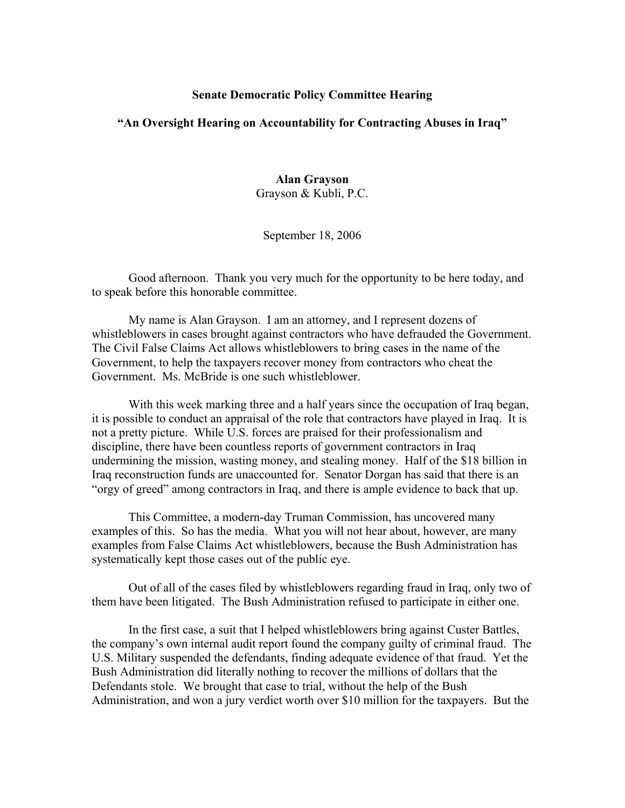## **Senate Democratic Policy Committee Hearing**

## **"An Oversight Hearing on Accountability for Contracting Abuses in Iraq"**

## **Alan Grayson**

Grayson & Kubli, P.C.

## September 18, 2006

Good afternoon. Thank you very much for the opportunity to be here today, and to speak before this honorable committee.

My name is Alan Grayson. I am an attorney, and I represent dozens of whistleblowers in cases brought against contractors who have defrauded the Government. The Civil False Claims Act allows whistleblowers to bring cases in the name of the Government, to help the taxpayers recover money from contractors who cheat the Government. Ms. McBride is one such whistleblower.

With this week marking three and a half years since the occupation of Iraq began, it is possible to conduct an appraisal of the role that contractors have played in Iraq. It is not a pretty picture. While U.S. forces are praised for their professionalism and discipline, there have been countless reports of government contractors in Iraq undermining the mission, wasting money, and stealing money. Half of the \$18 billion in Iraq reconstruction funds are unaccounted for. Senator Dorgan has said that there is an "orgy of greed" among contractors in Iraq, and there is ample evidence to back that up.

This Committee, a modern-day Truman Commission, has uncovered many examples of this. So has the media. What you will not hear about, however, are many examples from False Claims Act whistleblowers, because the Bush Administration has systematically kept those cases out of the public eye.

Out of all of the cases filed by whistleblowers regarding fraud in Iraq, only two of them have been litigated. The Bush Administration refused to participate in either one.

In the first case, a suit that I helped whistleblowers bring against Custer Battles, the company's own internal audit report found the company guilty of criminal fraud. The U.S. Military suspended the defendants, finding adequate evidence of that fraud. Yet the Bush Administration did literally nothing to recover the millions of dollars that the Defendants stole. We brought that case to trial, without the help of the Bush Administration, and won a jury verdict worth over \$10 million for the taxpayers. But the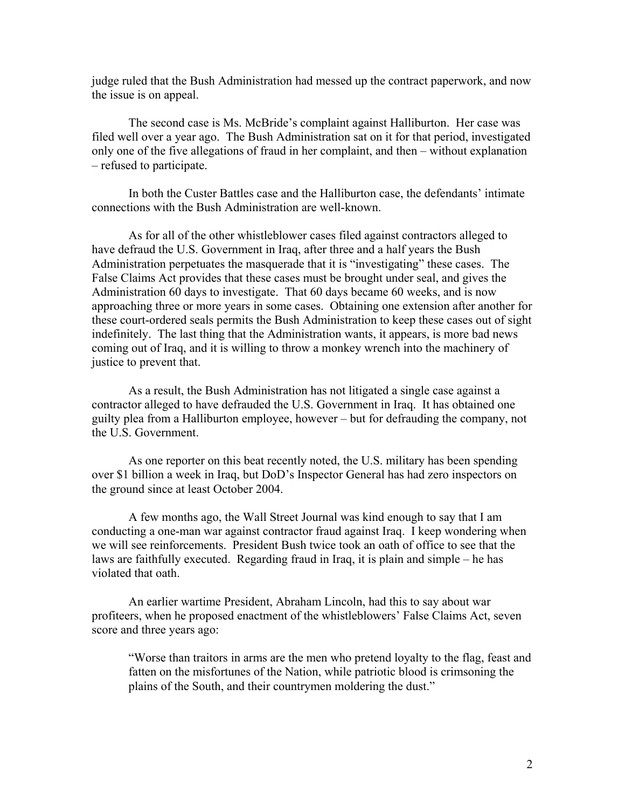judge ruled that the Bush Administration had messed up the contract paperwork, and now the issue is on appeal.

The second case is Ms. McBride's complaint against Halliburton. Her case was filed well over a year ago. The Bush Administration sat on it for that period, investigated only one of the five allegations of fraud in her complaint, and then – without explanation – refused to participate.

In both the Custer Battles case and the Halliburton case, the defendants' intimate connections with the Bush Administration are well-known.

As for all of the other whistleblower cases filed against contractors alleged to have defraud the U.S. Government in Iraq, after three and a half years the Bush Administration perpetuates the masquerade that it is "investigating" these cases. The False Claims Act provides that these cases must be brought under seal, and gives the Administration 60 days to investigate. That 60 days became 60 weeks, and is now approaching three or more years in some cases. Obtaining one extension after another for these court-ordered seals permits the Bush Administration to keep these cases out of sight indefinitely. The last thing that the Administration wants, it appears, is more bad news coming out of Iraq, and it is willing to throw a monkey wrench into the machinery of justice to prevent that.

As a result, the Bush Administration has not litigated a single case against a contractor alleged to have defrauded the U.S. Government in Iraq. It has obtained one guilty plea from a Halliburton employee, however – but for defrauding the company, not the U.S. Government.

As one reporter on this beat recently noted, the U.S. military has been spending over \$1 billion a week in Iraq, but DoD's Inspector General has had zero inspectors on the ground since at least October 2004.

A few months ago, the Wall Street Journal was kind enough to say that I am conducting a one-man war against contractor fraud against Iraq. I keep wondering when we will see reinforcements. President Bush twice took an oath of office to see that the laws are faithfully executed. Regarding fraud in Iraq, it is plain and simple – he has violated that oath.

An earlier wartime President, Abraham Lincoln, had this to say about war profiteers, when he proposed enactment of the whistleblowers' False Claims Act, seven score and three years ago:

"Worse than traitors in arms are the men who pretend loyalty to the flag, feast and fatten on the misfortunes of the Nation, while patriotic blood is crimsoning the plains of the South, and their countrymen moldering the dust."